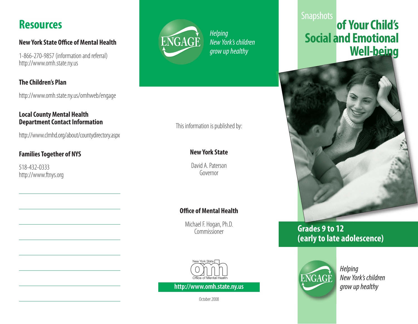## **Resources**

#### **New York State Office of Mental Health**

1-866-270-9857 (information and referral) http://www.omh.state.ny.us

### **The Children's Plan**

http://www.omh.state.ny.us/omhweb/engage

#### **Local County Mental Health Department Contact Information**

http://www.clmhd.org/about/countydirectory.aspx

## **Families Together of NYS**

518-432-0333 http://www.ftnys.org



*Helping New York's children grow up healthy* 

## This information is published by:

## **New York State**

David A. Paterson Governor

## **Office of Mental Health**

Michael F. Hogan, Ph.D. Commissioner



**http://www.omh.state.ny.us grow up healthy grow up healthy** 

October 2008

## **Snapshots of Your Child's Social and Emotional Well-being**



## **Grades 9 to 12 (early to late adolescence)**



*Helping New York's children*